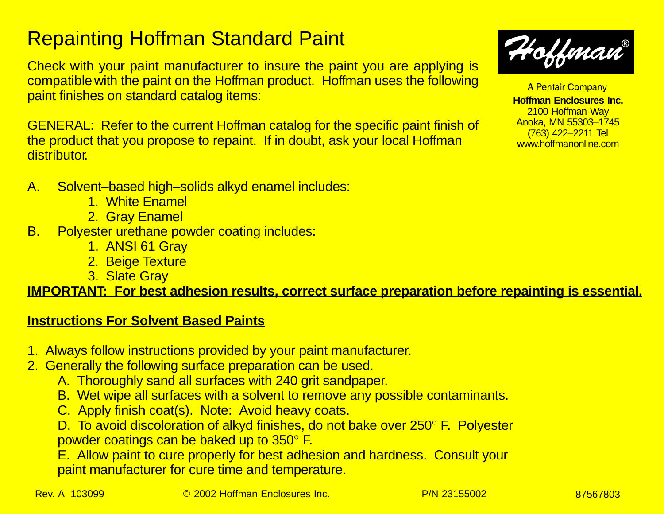## Repainting Hoffman Standard Paint

Check with your paint manufacturer to insure the paint you are applying is compatible with the paint on the Hoffman product. Hoffman uses the following paint finishes on standard catalog items:

GENERAL: Refer to the current Hoffman catalog for the specific paint finish of the product that you propose to repaint. If in doubt, ask your local Hoffman **distributor** 

- A. Solvent–based high–solids alkyd enamel includes:
	- 1. White Enamel
	- 2. Gray Enamel
- B. Polyester urethane powder coating includes:
	- 1. ANSI 61 Gray
	- 2. Beige Texture
	- 3. Slate Gray

**IMPORTANT: For best adhesion results, correct surface preparation before repainting is essential.**

## **Instructions For Solvent Based Paints**

- 1. Always follow instructions provided by your paint manufacturer.
- 2. Generally the following surface preparation can be used.
	- A. Thoroughly sand all surfaces with 240 grit sandpaper.
	- B. Wet wipe all surfaces with a solvent to remove any possible contaminants.
	- C. Apply finish coat(s). Note: Avoid heavy coats.

D. To avoid discoloration of alkyd finishes, do not bake over 250° F. Polyester powder coatings can be baked up to 350° F.

E. Allow paint to cure properly for best adhesion and hardness. Consult your paint manufacturer for cure time and temperature.

A Pentair Company

**Hoffman Enclosures Inc.** 2100 Hoffman Way Anoka, MN 55303–1745 (763) 422–2211 Tel www.hoffmanonline.com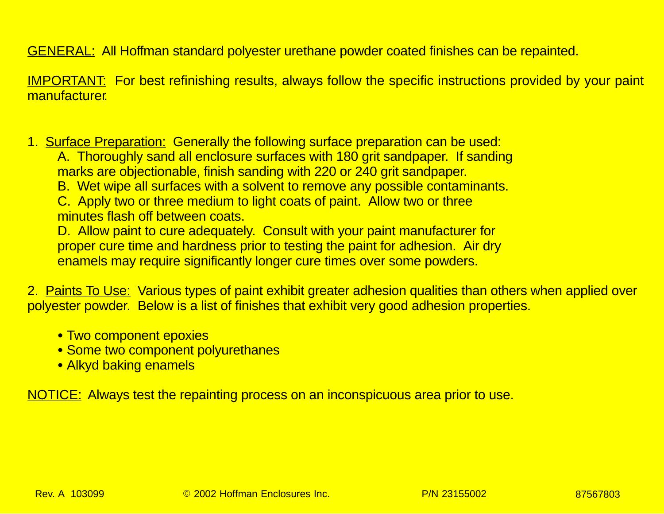GENERAL: All Hoffman standard polyester urethane powder coated finishes can be repainted.

IMPORTANT: For best refinishing results, always follow the specific instructions provided by your paint manufacturer.

1. Surface Preparation: Generally the following surface preparation can be used:

A. Thoroughly sand all enclosure surfaces with 180 grit sandpaper. If sanding marks are objectionable, finish sanding with 220 or 240 grit sandpaper.

B. Wet wipe all surfaces with a solvent to remove any possible contaminants.

C. Apply two or three medium to light coats of paint. Allow two or three minutes flash off between coats.

D. Allow paint to cure adequately. Consult with your paint manufacturer for proper cure time and hardness prior to testing the paint for adhesion. Air dry enamels may require significantly longer cure times over some powders.

2. Paints To Use: Various types of paint exhibit greater adhesion qualities than others when applied over polyester powder. Below is a list of finishes that exhibit very good adhesion properties.

- Two component epoxies
- **Some two component polyurethanes**
- Alkyd baking enamels

NOTICE: Always test the repainting process on an inconspicuous area prior to use.